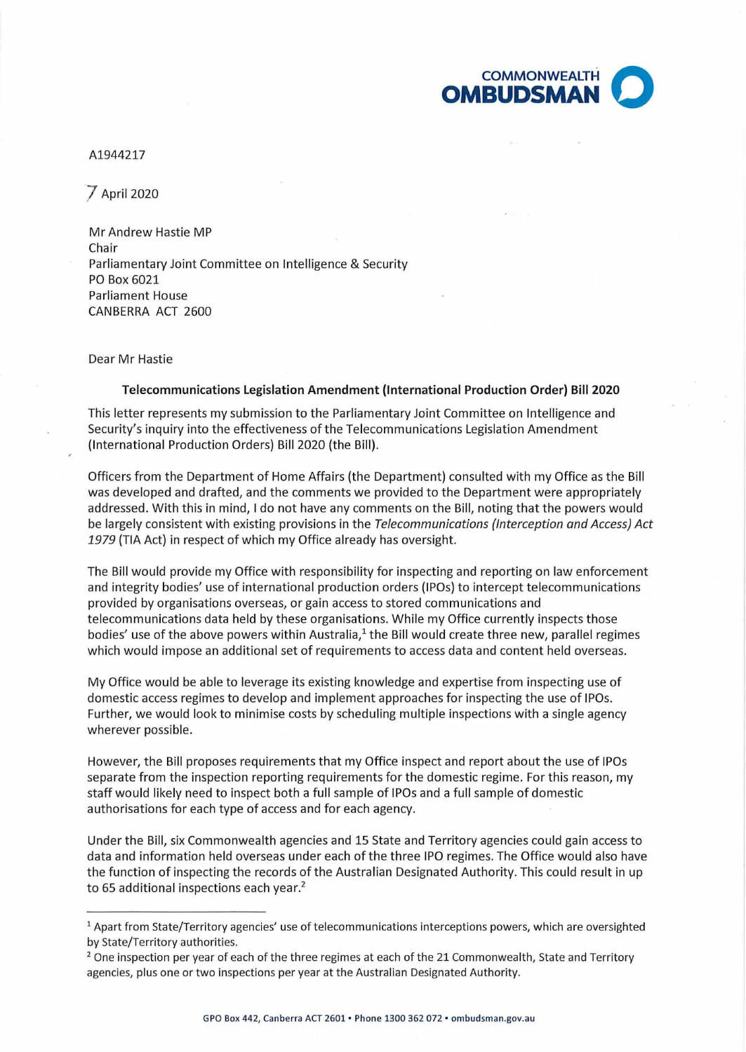

## A1944217

] April 2020

Mr Andrew Hastie MP Chair Parliamentary Joint Committee on Intelligence & Security PO Box 6021 Parliament House CANBERRA ACT 2600

Dear Mr Hastie

## **Telecommunications Legislation Amendment (International Production Order) Bill 2020**

This letter represents my submission to the Parliamentary Joint Committee on Intelligence and Security's inquiry into the effectiveness of the Telecommunications Legislation Amendment (International Production Orders) Bill 2020 (the Bill) .

Officers from the Department of Home Affairs (the Department) consulted with my Office as the Bill was developed and drafted, and the comments we provided to the Department were appropriately addressed. With this in mind, I do not have any comments on the Bill, noting that the powers would be largely consistent with existing provisions in the Telecommunications (Interception and Access) Act *1979* (TIA Act) in respect of which my Office already has oversight.

The Bill would provide my Office with responsibility for inspecting and reporting on law enforcement and integrity bodies' use of international production orders (IPOs) to intercept telecommunications provided by organisations overseas, or gain access to stored communications and telecommunications data held by these organisations. While my Office currently inspects those bodies' use of the above powers within Australia, $<sup>1</sup>$  the Bill would create three new, parallel regimes</sup> which would impose an additional set of requirements to access data and content held overseas.

My Office would be able to leverage its existing knowledge and expertise from inspecting use of domestic access regimes to develop and implement approaches for inspecting the use of IPOs. Further, we would look to minimise costs by scheduling multiple inspections with a single agency wherever possible.

However, the Bill proposes requirements that my Office inspect and report about the use of IPOs separate from the inspection reporting requirements for the domestic regime. For this reason, my staff would likely need to inspect both a full sample of IPOs and a full sample of domestic authorisations for each type of access and for each agency.

Under the Bill, six Commonwealth agencies and 15 State and Territory agencies could gain access to data and information held overseas under each of the three IPO regimes. The Office would also have the function of inspecting the records of the Australian Designated Authority. This could result in up to 65 additional inspections each year. 2

 $1$  Apart from State/Territory agencies' use of telecommunications interceptions powers, which are oversighted by State/Territory authorities.<br><sup>2</sup> One inspection per year of each of the three regimes at each of the 21 Commonwealth, State and Territory

agencies, plus one or two inspections per year at the Australian Designated Authority.